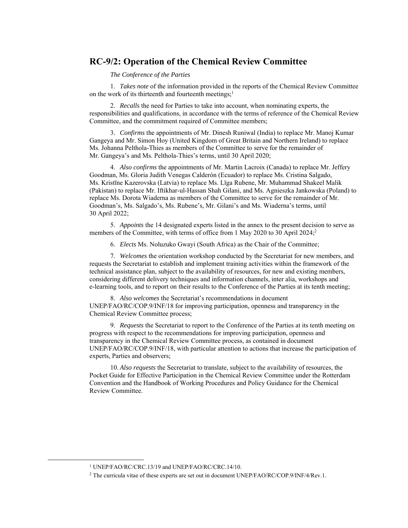## **RC-9/2: Operation of the Chemical Review Committee**

*The Conference of the Parties*

1. *Takes note* of the information provided in the reports of the Chemical Review Committee on the work of its thirteenth and fourteenth meetings;<sup>1</sup>

2. *Recalls* the need for Parties to take into account, when nominating experts, the responsibilities and qualifications, in accordance with the terms of reference of the Chemical Review Committee, and the commitment required of Committee members;

3. *Confirms* the appointments of Mr. Dinesh Runiwal (India) to replace Mr. Manoj Kumar Gangeya and Mr. Simon Hoy (United Kingdom of Great Britain and Northern Ireland) to replace Ms. Johanna Pelthola-Thies as members of the Committee to serve for the remainder of Mr. Gangeya's and Ms. Pelthola-Thies's terms, until 30 April 2020;

4. *Also confirms* the appointments of Mr. Martin Lacroix (Canada) to replace Mr. Jeffery Goodman, Ms. Gloria Judith Venegas Calderón (Ecuador) to replace Ms. Cristina Salgado, Ms. Kristīne Kazerovska (Latvia) to replace Ms. Līga Rubene, Mr. Muhammad Shakeel Malik (Pakistan) to replace Mr. Iftikhar-ul-Hassan Shah Gilani, and Ms. Agnieszka Jankowska (Poland) to replace Ms. Dorota Wiaderna as members of the Committee to serve for the remainder of Mr. Goodman's, Ms. Salgado's, Ms. Rubene's, Mr. Gilani's and Ms. Wiaderna's terms, until 30 April 2022;

5. *Appoints* the 14 designated experts listed in the annex to the present decision to serve as members of the Committee, with terms of office from 1 May 2020 to 30 April 2024;<sup>2</sup>

6. *Elects* Ms. Noluzuko Gwayi (South Africa) as the Chair of the Committee;

7. *Welcomes* the orientation workshop conducted by the Secretariat for new members, and requests the Secretariat to establish and implement training activities within the framework of the technical assistance plan, subject to the availability of resources, for new and existing members, considering different delivery techniques and information channels, inter alia, workshops and e-learning tools, and to report on their results to the Conference of the Parties at its tenth meeting;

8. *Also welcomes* the Secretariat's recommendations in document UNEP/FAO/RC/COP.9/INF/18 for improving participation, openness and transparency in the Chemical Review Committee process;

9. *Requests* the Secretariat to report to the Conference of the Parties at its tenth meeting on progress with respect to the recommendations for improving participation, openness and transparency in the Chemical Review Committee process, as contained in document UNEP/FAO/RC/COP.9/INF/18, with particular attention to actions that increase the participation of experts, Parties and observers;

10. *Also requests* the Secretariat to translate, subject to the availability of resources, the Pocket Guide for Effective Participation in the Chemical Review Committee under the Rotterdam Convention and the Handbook of Working Procedures and Policy Guidance for the Chemical Review Committee.

 <sup>1</sup> UNEP/FAO/RC/CRC.13/19 and UNEP/FAO/RC/CRC.14/10.

<sup>2</sup> The curricula vitae of these experts are set out in document UNEP/FAO/RC/COP.9/INF/4/Rev.1.